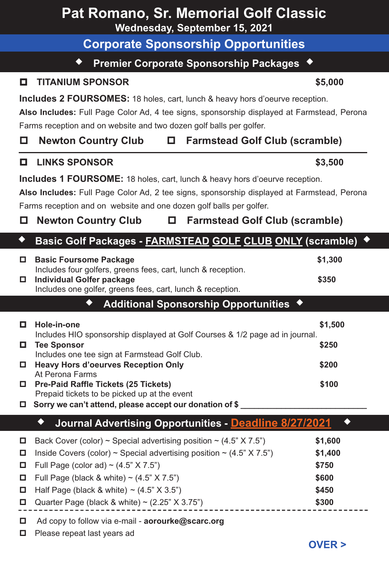| Pat Romano, Sr. Memorial Golf Classic<br>Wednesday, September 15, 2021                                                                                                                                                                                                                                                        |                                                                                                                                                                                                                                                                                                                                                 |                                                        |  |  |  |  |  |
|-------------------------------------------------------------------------------------------------------------------------------------------------------------------------------------------------------------------------------------------------------------------------------------------------------------------------------|-------------------------------------------------------------------------------------------------------------------------------------------------------------------------------------------------------------------------------------------------------------------------------------------------------------------------------------------------|--------------------------------------------------------|--|--|--|--|--|
|                                                                                                                                                                                                                                                                                                                               | <b>Corporate Sponsorship Opportunities</b>                                                                                                                                                                                                                                                                                                      |                                                        |  |  |  |  |  |
|                                                                                                                                                                                                                                                                                                                               | ٠<br>Premier Corporate Sponsorship Packages ♦                                                                                                                                                                                                                                                                                                   |                                                        |  |  |  |  |  |
| о.                                                                                                                                                                                                                                                                                                                            | <b>TITANIUM SPONSOR</b>                                                                                                                                                                                                                                                                                                                         | \$5,000                                                |  |  |  |  |  |
| Includes 2 FOURSOMES: 18 holes, cart, lunch & heavy hors d'oeurve reception.<br>Also Includes: Full Page Color Ad, 4 tee signs, sponsorship displayed at Farmstead, Perona<br>Farms reception and on website and two dozen golf balls per golfer.<br><b>Newton Country Club</b><br><b>Farmstead Golf Club (scramble)</b><br>О |                                                                                                                                                                                                                                                                                                                                                 |                                                        |  |  |  |  |  |
| о.                                                                                                                                                                                                                                                                                                                            | <b>LINKS SPONSOR</b>                                                                                                                                                                                                                                                                                                                            | \$3,500                                                |  |  |  |  |  |
|                                                                                                                                                                                                                                                                                                                               | Includes 1 FOURSOME: 18 holes, cart, lunch & heavy hors d'oeurve reception.<br>Also Includes: Full Page Color Ad, 2 tee signs, sponsorship displayed at Farmstead, Perona<br>Farms reception and on website and one dozen golf balls per golfer.<br><b>Farmstead Golf Club (scramble)</b><br><b>Newton Country Club</b>                         |                                                        |  |  |  |  |  |
| ٠                                                                                                                                                                                                                                                                                                                             | Basic Golf Packages - FARMSTEAD GOLF CLUB ONLY (scramble)                                                                                                                                                                                                                                                                                       |                                                        |  |  |  |  |  |
|                                                                                                                                                                                                                                                                                                                               | □ Basic Foursome Package<br>Includes four golfers, greens fees, cart, lunch & reception.<br>Individual Golfer package                                                                                                                                                                                                                           | \$1,300<br>\$350                                       |  |  |  |  |  |
|                                                                                                                                                                                                                                                                                                                               | Includes one golfer, greens fees, cart, lunch & reception.                                                                                                                                                                                                                                                                                      |                                                        |  |  |  |  |  |
|                                                                                                                                                                                                                                                                                                                               | Additional Sponsorship Opportunities ♦                                                                                                                                                                                                                                                                                                          |                                                        |  |  |  |  |  |
|                                                                                                                                                                                                                                                                                                                               | \$1,500<br>Hole-in-one<br>Includes HIO sponsorship displayed at Golf Courses & 1/2 page ad in journal.                                                                                                                                                                                                                                          |                                                        |  |  |  |  |  |
|                                                                                                                                                                                                                                                                                                                               | <b>Tee Sponsor</b><br>Includes one tee sign at Farmstead Golf Club.                                                                                                                                                                                                                                                                             | \$250                                                  |  |  |  |  |  |
|                                                                                                                                                                                                                                                                                                                               | □ Heavy Hors d'oeurves Reception Only<br>At Perona Farms                                                                                                                                                                                                                                                                                        | \$200                                                  |  |  |  |  |  |
|                                                                                                                                                                                                                                                                                                                               | □ Pre-Paid Raffle Tickets (25 Tickets)                                                                                                                                                                                                                                                                                                          | \$100                                                  |  |  |  |  |  |
|                                                                                                                                                                                                                                                                                                                               | Prepaid tickets to be picked up at the event<br>$\Box$ Sorry we can't attend, please accept our donation of \$                                                                                                                                                                                                                                  |                                                        |  |  |  |  |  |
|                                                                                                                                                                                                                                                                                                                               | ٠<br>Journal Advertising Opportunities - Deadline 8/27/2021                                                                                                                                                                                                                                                                                     |                                                        |  |  |  |  |  |
| □<br>□<br>o<br>□                                                                                                                                                                                                                                                                                                              | Back Cover (color) ~ Special advertising position ~ $(4.5" X 7.5")$<br>Inside Covers (color) ~ Special advertising position ~ $(4.5" X 7.5")$<br>Full Page (color ad) ~ $(4.5" X 7.5")$<br>Full Page (black & white) $\sim$ (4.5" X 7.5")<br>Half Page (black & white) $\sim$ (4.5" X 3.5")<br>Quarter Page (black & white) ~ $(2.25" X 3.75")$ | \$1,600<br>\$1,400<br>\$750<br>\$600<br>\$450<br>\$300 |  |  |  |  |  |
| o<br>□                                                                                                                                                                                                                                                                                                                        | Ad copy to follow via e-mail - aorourke@scarc.org<br>Please repeat last years ad                                                                                                                                                                                                                                                                | <b>OVER &gt;</b>                                       |  |  |  |  |  |